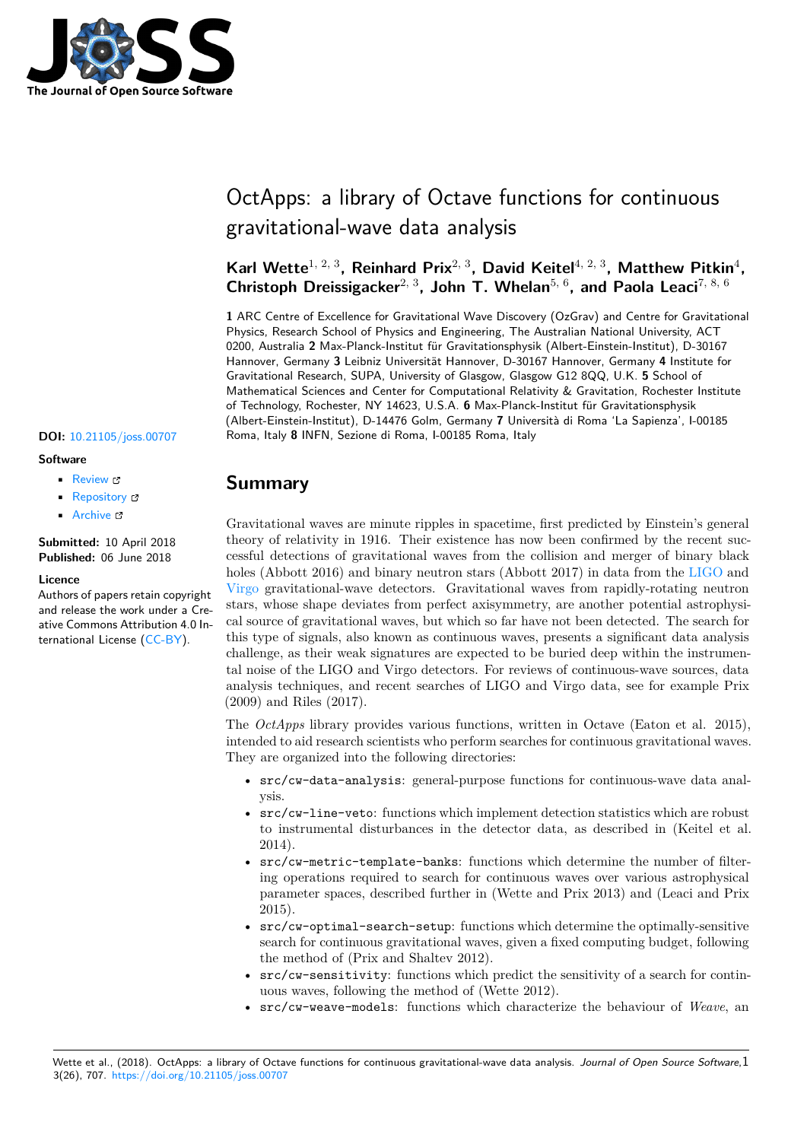

# OctApps: a library of Octave functions for continuous gravitational-wave data analysis

## Karl Wette<sup>1, 2, 3</sup>, Reinhard Prix<sup>2, 3</sup>, David Keitel<sup>4, 2, 3</sup>, Matthew Pitkin<sup>4</sup>, **Christoph Dreissigacker**2, 3**, John T. Whelan**5, 6**, and Paola Leaci**7, 8, 6

**1** ARC Centre of Excellence for Gravitational Wave Discovery (OzGrav) and Centre for Gravitational Physics, Research School of Physics and Engineering, The Australian National University, ACT 0200, Australia **2** Max-Planck-Institut für Gravitationsphysik (Albert-Einstein-Institut), D-30167 Hannover, Germany **3** Leibniz Universität Hannover, D-30167 Hannover, Germany **4** Institute for Gravitational Research, SUPA, University of Glasgow, Glasgow G12 8QQ, U.K. **5** School of Mathematical Sciences and Center for Computational Relativity & Gravitation, Rochester Institute of Technology, Rochester, NY 14623, U.S.A. **6** Max-Planck-Institut für Gravitationsphysik (Albert-Einstein-Institut), D-14476 Golm, Germany **7** Università di Roma 'La Sapienza', I-00185 **DOI:** 10.21105/joss.00707 Roma, Italy **8** INFN, Sezione di Roma, I-00185 Roma, Italy

#### **Software**

- Review C
- [Repository](https://doi.org/10.21105/joss.00707) &
- Archive

**Subm[itted:](https://github.com/openjournals/joss-reviews/issues/707)** 10 April 2018 **Published:** [06 Ju](https://github.com/octapps/octapps)ne 2018

#### **Licen[ce](http://dx.doi.org/10.5281/zenodo.1283525)**

Authors of papers retain copyright and release the work under a Creative Commons Attribution 4.0 International License (CC-BY).

# **Summary**

Gravitational waves are minute ripples in spacetime, first predicted by Einstein's general theory of relativity in 1916. Their existence has now been confirmed by the recent successful detections of gravitational waves from the collision and merger of binary black holes (Abbott 2016) and binary neutron stars (Abbott 2017) in data from the LIGO and Virgo gravitational-wave detectors. Gravitational waves from rapidly-rotating neutron stars, whose shape deviates from perfect axisymmetry, are another potential astrophysical source of gravitational waves, but which so far have not been detected. The search for this type of signals, also known as continuous waves, presents a significant da[ta ana](https://www.ligo.org)lysis [challe](http://www.virgo-gw.eu)nge, as their weak signatures are expected to be buried deep within the instrumental noise of the LIGO and Virgo detectors. For reviews of continuous-wave sources, data analysis techniques, and recent searches of LIGO and Virgo data, see for example Prix (2009) and Riles (2017).

The *OctApps* library provides various functions, written in Octave (Eaton et al. 2015), intended to aid research scientists who perform searches for continuous gravitational waves. They are organized into the following directories:

- src/cw-data-analysis: general-purpose functions for continuous-wave data analysis.
- src/cw-line-veto: functions which implement detection statistics which are robust to instrumental disturbances in the detector data, as described in (Keitel et al. 2014).
- src/cw-metric-template-banks: functions which determine the number of filtering operations required to search for continuous waves over various astrophysical parameter spaces, described further in (Wette and Prix 2013) and (Leaci and Prix 2015).
- src/cw-optimal-search-setup: functions which determine the optimally-sensitive search for continuous gravitational waves, given a fixed computing budget, following the method of (Prix and Shaltev 2012).
- src/cw-sensitivity: functions which predict the sensitivity of a search for continuous waves, following the method of (Wette 2012).
- src/cw-weave-models: functions which characterize the behaviour of *Weave*, an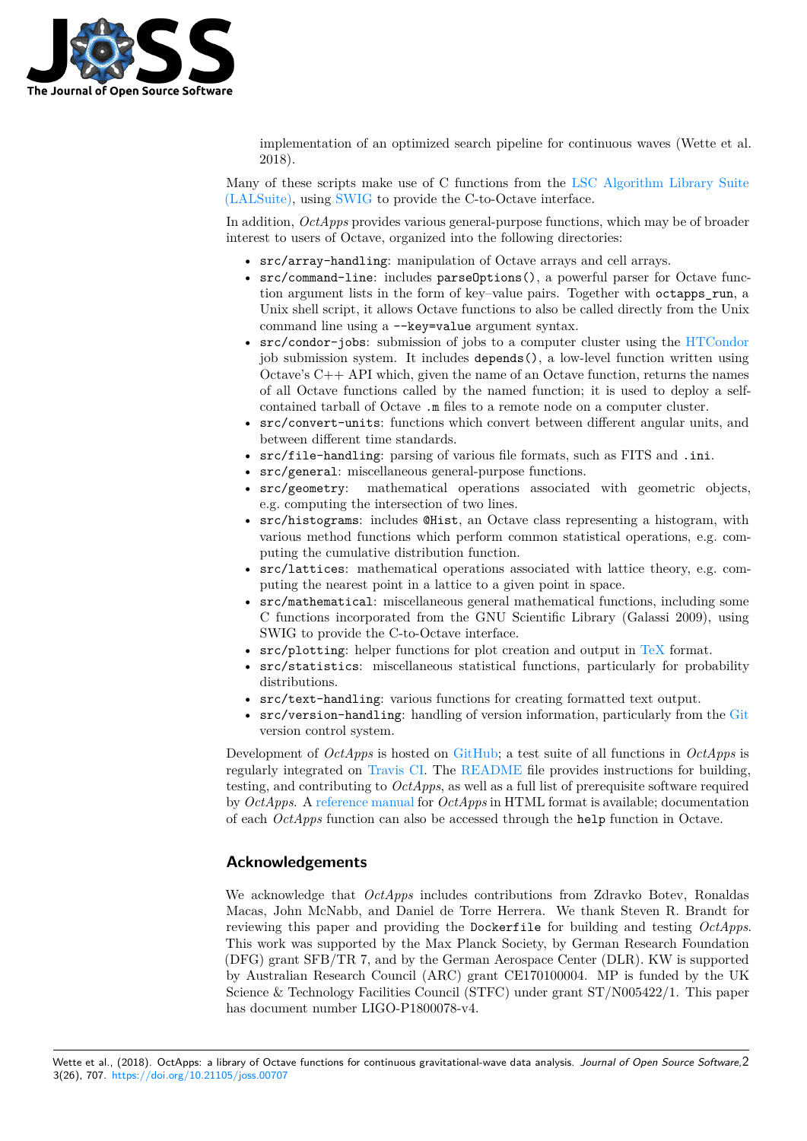

implementation of an optimized search pipeline for continuous waves (Wette et al. 2018).

Many of these scripts make use of C functions from the LSC Algorithm Library Suite (LALSuite), using SWIG to provide the C-to-Octave interface.

In addition, *OctApps* provides various general-purpose functions, which may be of broader interest to users of Octave, organized into the following directories:

- [src/a](https://wiki.ligo.org/DASWG/LALSuite)rray-[handli](http://www.swig.org)ng: manipulation of Octave array[s and cell arrays.](https://wiki.ligo.org/DASWG/LALSuite)
- src/command-line: includes parseOptions(), a powerful parser for Octave function argument lists in the form of key–value pairs. Together with octapps\_run, a Unix shell script, it allows Octave functions to also be called directly from the Unix command line using a --key=value argument syntax.
- src/condor-jobs: submission of jobs to a computer cluster using the HTCondor job submission system. It includes depends(), a low-level function written using Octave's C++ API which, given the name of an Octave function, returns the names of all Octave functions called by the named function; it is used to deploy a selfcontained tarball of Octave .m files to a remote node on a computer clu[ster.](https://research.cs.wisc.edu/htcondor)
- src/convert-units: functions which convert between different angular units, and between different time standards.
- src/file-handling: parsing of various file formats, such as FITS and .ini.
- src/general: miscellaneous general-purpose functions.
- src/geometry: mathematical operations associated with geometric objects, e.g. computing the intersection of two lines.
- src/histograms: includes @Hist, an Octave class representing a histogram, with various method functions which perform common statistical operations, e.g. computing the cumulative distribution function.
- src/lattices: mathematical operations associated with lattice theory, e.g. computing the nearest point in a lattice to a given point in space.
- src/mathematical: miscellaneous general mathematical functions, including some C functions incorporated from the GNU Scientific Library (Galassi 2009), using SWIG to provide the C-to-Octave interface.
- src/plotting: helper functions for plot creation and output in TeX format.
- src/statistics: miscellaneous statistical functions, particularly for probability distributions.
- src/text-handling: various functions for creating formatted text output.
- src/version-handling: handling of version information, partic[ularly](https://www.tug.org) from the Git version control system.

Development of *OctApps* is hosted on GitHub; a test suite of all functions in *OctApps* is regularly integrated on Travis CI. The README file provides instructions for building, testing, and contributing to *OctApps*, as well as a full list of prerequisite software requ[ired](https://git-scm.com) by *OctApps*. A reference manual for *OctApps* in HTML format is available; documentation of each *OctApps* function can also be [accessed](https://github.com/octapps/octapps) through the help function in Octave.

### **Acknowledg[ements](https://octapps.github.io)**

We acknowledge that *OctApps* includes contributions from Zdravko Botev, Ronaldas Macas, John McNabb, and Daniel de Torre Herrera. We thank Steven R. Brandt for reviewing this paper and providing the Dockerfile for building and testing *OctApps*. This work was supported by the Max Planck Society, by German Research Foundation (DFG) grant SFB/TR 7, and by the German Aerospace Center (DLR). KW is supported by Australian Research Council (ARC) grant CE170100004. MP is funded by the UK Science & Technology Facilities Council (STFC) under grant ST/N005422/1. This paper has document number LIGO-P1800078-v4.